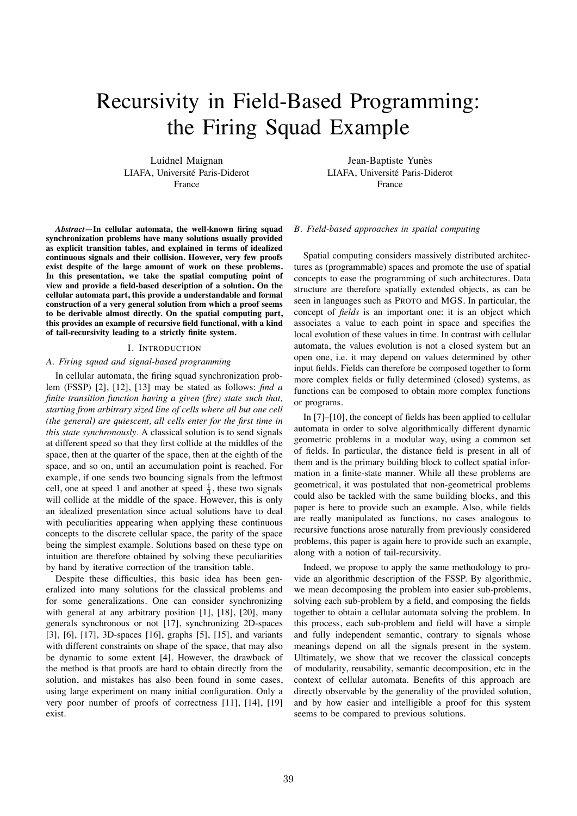# Recursivity in Field-Based Programming: the Firing Squad Example

Luidnel Maignan LIAFA, Université Paris-Diderot France

Jean-Baptiste Yunès LIAFA, Université Paris-Diderot France

*Abstract***—In cellular automata, the well-known firing squad synchronization problems have many solutions usually provided as explicit transition tables, and explained in terms of idealized continuous signals and their collision. However, very few proofs exist despite of the large amount of work on these problems. In this presentation, we take the spatial computing point of view and provide a field-based description of a solution. On the cellular automata part, this provide a understandable and formal construction of a very general solution from which a proof seems to be derivable almost directly. On the spatial computing part, this provides an example of recursive field functional, with a kind of tail-recursivity leading to a strictly finite system.**

# I. INTRODUCTION

## *A. Firing squad and signal-based programming*

In cellular automata, the firing squad synchronization problem (FSSP) [2], [12], [13] may be stated as follows: *find a finite transition function having a given (fire) state such that, starting from arbitrary sized line of cells where all but one cell (the general) are quiescent, all cells enter for the first time in this state synchronously*. A classical solution is to send signals at different speed so that they first collide at the middles of the space, then at the quarter of the space, then at the eighth of the space, and so on, until an accumulation point is reached. For example, if one sends two bouncing signals from the leftmost cell, one at speed 1 and another at speed  $\frac{1}{3}$ , these two signals will collide at the middle of the space. However, this is only an idealized presentation since actual solutions have to deal with peculiarities appearing when applying these continuous concepts to the discrete cellular space, the parity of the space being the simplest example. Solutions based on these type on intuition are therefore obtained by solving these peculiarities by hand by iterative correction of the transition table.

Despite these difficulties, this basic idea has been generalized into many solutions for the classical problems and for some generalizations. One can consider synchronizing with general at any arbitrary position [1], [18], [20], many generals synchronous or not [17], synchronizing 2D-spaces [3], [6], [17], 3D-spaces [16], graphs [5], [15], and variants with different constraints on shape of the space, that may also be dynamic to some extent [4]. However, the drawback of the method is that proofs are hard to obtain directly from the solution, and mistakes has also been found in some cases, using large experiment on many initial configuration. Only a very poor number of proofs of correctness [11], [14], [19] exist.

## *B. Field-based approaches in spatial computing*

Spatial computing considers massively distributed architectures as (programmable) spaces and promote the use of spatial concepts to ease the programming of such architectures. Data structure are therefore spatially extended objects, as can be seen in languages such as PROTO and MGS. In particular, the concept of *fields* is an important one: it is an object which associates a value to each point in space and specifies the local evolution of these values in time. In contrast with cellular automata, the values evolution is not a closed system but an open one, i.e. it may depend on values determined by other input fields. Fields can therefore be composed together to form more complex fields or fully determined (closed) systems, as functions can be composed to obtain more complex functions or programs.

In [7]–[10], the concept of fields has been applied to cellular automata in order to solve algorithmically different dynamic geometric problems in a modular way, using a common set of fields. In particular, the distance field is present in all of them and is the primary building block to collect spatial information in a finite-state manner. While all these problems are geometrical, it was postulated that non-geometrical problems could also be tackled with the same building blocks, and this paper is here to provide such an example. Also, while fields are really manipulated as functions, no cases analogous to recursive functions arose naturally from previously considered problems, this paper is again here to provide such an example, along with a notion of tail-recursivity.

Indeed, we propose to apply the same methodology to provide an algorithmic description of the FSSP. By algorithmic, we mean decomposing the problem into easier sub-problems, solving each sub-problem by a field, and composing the fields together to obtain a cellular automata solving the problem. In this process, each sub-problem and field will have a simple and fully independent semantic, contrary to signals whose meanings depend on all the signals present in the system. Ultimately, we show that we recover the classical concepts of modularity, reusability, semantic decomposition, etc in the context of cellular automata. Benefits of this approach are directly observable by the generality of the provided solution, and by how easier and intelligible a proof for this system seems to be compared to previous solutions.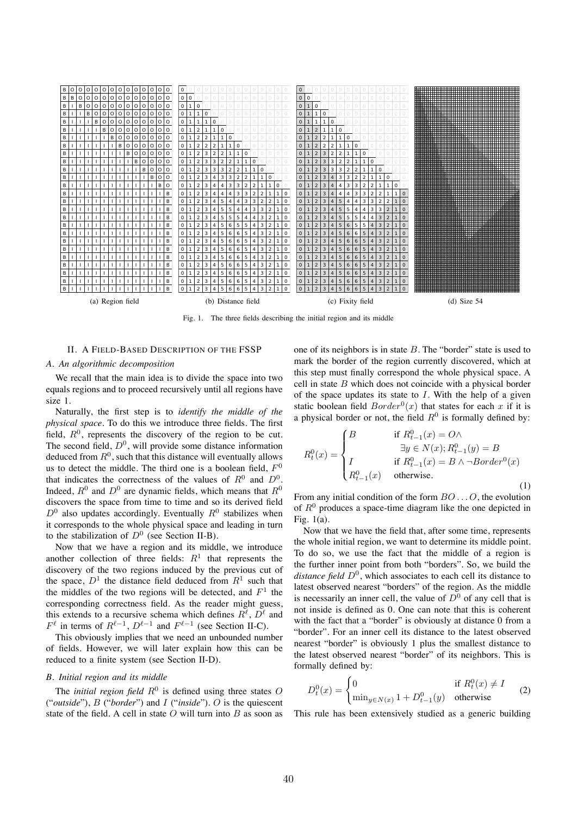

Fig. 1. The three fields describing the initial region and its middle

#### II. A FIELD-BASED DESCRIPTION OF THE FSSP

## A. An algorithmic decomposition

We recall that the main idea is to divide the space into two equals regions and to proceed recursively until all regions have size 1.

Naturally, the first step is to identify the middle of the *physical space*. To do this we introduce three fields. The first field,  $R^0$ , represents the discovery of the region to be cut. The second field,  $D^0$ , will provide some distance information deduced from  $R^0$ , such that this distance will eventually allows us to detect the middle. The third one is a boolean field,  $F^0$ that indicates the correctness of the values of  $R^0$  and  $D^0$ . Indeed,  $R^0$  and  $D^0$  are dynamic fields, which means that  $R^0$ discovers the space from time to time and so its derived field  $D^0$  also updates accordingly. Eventually  $R^0$  stabilizes when it corresponds to the whole physical space and leading in turn to the stabilization of  $D^0$  (see Section II-B).

Now that we have a region and its middle, we introduce another collection of three fields:  $R<sup>1</sup>$  that represents the discovery of the two regions induced by the previous cut of the space,  $D^1$  the distance field deduced from  $R^1$  such that the middles of the two regions will be detected, and  $F<sup>1</sup>$  the corresponding correctness field. As the reader might guess, this extends to a recursive schema which defines  $R^{\ell}$ ,  $D^{\ell}$  and  $F^{\ell}$  in terms of  $R^{\ell-1}$ ,  $D^{\ell-1}$  and  $F^{\ell-1}$  (see Section II-C).

This obviously implies that we need an unbounded number of fields. However, we will later explain how this can be reduced to a finite system (see Section II-D).

# B. Initial region and its middle

The *initial region field*  $R^0$  is defined using three states O ("outside"),  $B$  ("border") and  $I$  ("inside"). O is the quiescent state of the field. A cell in state  $O$  will turn into  $B$  as soon as one of its neighbors is in state  $B$ . The "border" state is used to mark the border of the region currently discovered, which at this step must finally correspond the whole physical space. A cell in state  $B$  which does not coincide with a physical border of the space updates its state to  $I$ . With the help of a given static boolean field  $Border^0(x)$  that states for each x if it is a physical border or not, the field  $R^0$  is formally defined by:

$$
R_t^0(x) = \begin{cases} B & \text{if } R_{t-1}^0(x) = O \wedge \\ \exists y \in N(x); R_{t-1}^0(y) = B \\ I & \text{if } R_{t-1}^0(x) = B \wedge \neg Border^0(x) \\ R_{t-1}^0(x) & \text{otherwise.} \end{cases}
$$
 (1)

From any initial condition of the form  $BO \dots O$ , the evolution of  $R^0$  produces a space-time diagram like the one depicted in Fig.  $1(a)$ .

Now that we have the field that, after some time, represents the whole initial region, we want to determine its middle point. To do so, we use the fact that the middle of a region is the further inner point from both "borders". So, we build the distance field  $D^0$ , which associates to each cell its distance to latest observed nearest "borders" of the region. As the middle is necessarily an inner cell, the value of  $D^0$  of any cell that is not inside is defined as 0. One can note that this is coherent with the fact that a "border" is obviously at distance 0 from a "border". For an inner cell its distance to the latest observed nearest "border" is obviously 1 plus the smallest distance to the latest observed nearest "border" of its neighbors. This is formally defined by:

$$
D_t^0(x) = \begin{cases} 0 & \text{if } R_t^0(x) \neq I \\ \min_{y \in N(x)} 1 + D_{t-1}^0(y) & \text{otherwise} \end{cases}
$$
 (2)

This rule has been extensively studied as a generic building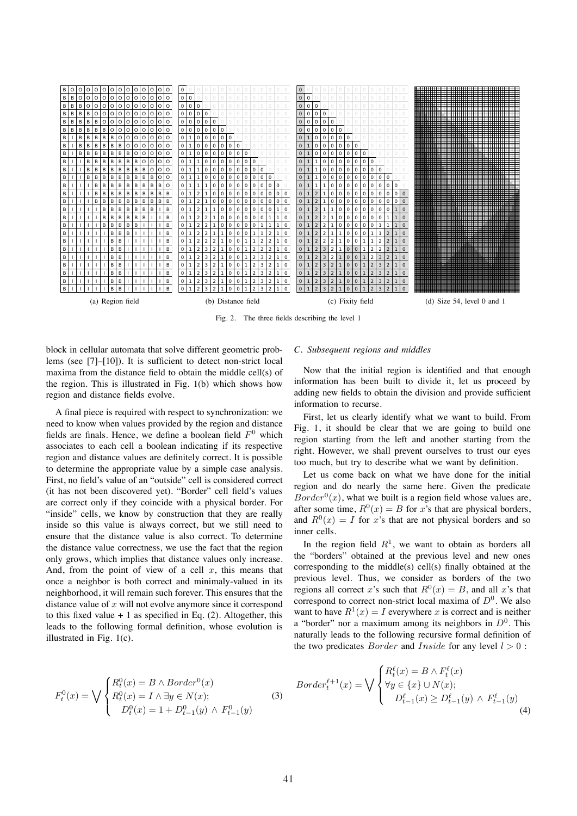

Fig. 2. The three fields describing the level 1

block in cellular automata that solve different geometric problems (see  $[7]-[10]$ ). It is sufficient to detect non-strict local maxima from the distance field to obtain the middle cell(s) of the region. This is illustrated in Fig. 1(b) which shows how region and distance fields evolve.

A final piece is required with respect to synchronization: we need to know when values provided by the region and distance fields are finals. Hence, we define a boolean field  $F^0$  which associates to each cell a boolean indicating if its respective region and distance values are definitely correct. It is possible to determine the appropriate value by a simple case analysis. First, no field's value of an "outside" cell is considered correct (it has not been discovered yet). "Border" cell field's values are correct only if they coincide with a physical border. For "inside" cells, we know by construction that they are really inside so this value is always correct, but we still need to ensure that the distance value is also correct. To determine the distance value correctness, we use the fact that the region only grows, which implies that distance values only increase. And, from the point of view of a cell  $x$ , this means that once a neighbor is both correct and minimaly-valued in its neighborhood, it will remain such forever. This ensures that the distance value of  $x$  will not evolve anymore since it correspond to this fixed value  $+1$  as specified in Eq. (2). Altogether, this leads to the following formal definition, whose evolution is illustrated in Fig.  $1(c)$ .

# C. Subsequent regions and middles

Now that the initial region is identified and that enough information has been built to divide it, let us proceed by adding new fields to obtain the division and provide sufficient information to recurse.

First, let us clearly identify what we want to build. From Fig. 1, it should be clear that we are going to build one region starting from the left and another starting from the right. However, we shall prevent ourselves to trust our eyes too much, but try to describe what we want by definition.

Let us come back on what we have done for the initial region and do nearly the same here. Given the predicate  $Border<sup>0</sup>(x)$ , what we built is a region field whose values are, after some time,  $R^0(x) = B$  for x's that are physical borders, and  $R^0(x) = I$  for x's that are not physical borders and so inner cells.

In the region field  $R<sup>1</sup>$ , we want to obtain as borders all the "borders" obtained at the previous level and new ones corresponding to the middle(s) cell(s) finally obtained at the previous level. Thus, we consider as borders of the two regions all correct x's such that  $R^{0}(x) = B$ , and all x's that correspond to correct non-strict local maxima of  $D^0$ . We also want to have  $R^1(x) = I$  everywhere x is correct and is neither a "border" nor a maximum among its neighbors in  $D^0$ . This naturally leads to the following recursive formal definition of the two predicates *Border* and *Inside* for any level  $l > 0$ :

 $\mathbf{r} = \mathbf{r} \cdot \mathbf{r}$ 

 $(4)$ 

$$
F_t^0(x) = \bigvee \begin{cases} R_t^0(x) = B \wedge Border^0(x) & \text{Border}_t^{\ell+1}(x) = \bigvee \begin{cases} R_t^0(x) = B \wedge F_t^{\ell}(x) \\ \forall y \in \{x\} \cup N(x); \\ D_t^0(x) = 1 + D_{t-1}^0(y) \wedge F_{t-1}^0(y) \end{cases} \quad (3)
$$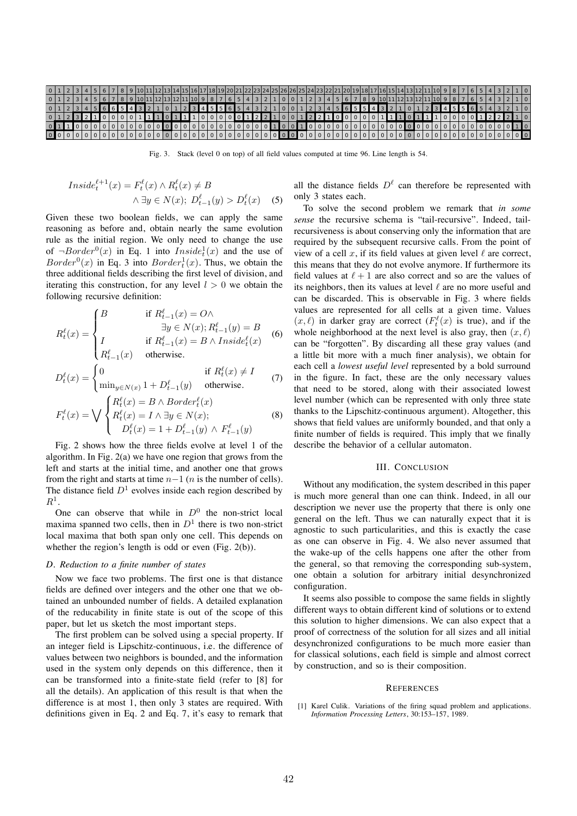

Fig. 3. Stack (level 0 on top) of all field values computed at time 96. Line length is 54.

$$
Inside_t^{\ell+1}(x) = F_t^{\ell}(x) \land R_t^{\ell}(x) \neq B
$$
  

$$
\land \exists y \in N(x); \ D_{t-1}^{\ell}(y) > D_t^{\ell}(x) \quad (5)
$$

Given these two boolean fields, we can apply the same reasoning as before and, obtain nearly the same evolution rule as the initial region. We only need to change the use of  $\neg Border^0(x)$  in Eq. 1 into  $Inside^1_t(x)$  and the use of  $Border<sup>0</sup>(x)$  in Eq. 3 into  $Border<sub>t</sub><sup>1</sup>(x)$ . Thus, we obtain the three additional fields describing the first level of division, and iterating this construction, for any level  $l > 0$  we obtain the following recursive definition:

$$
R_t^{\ell}(x) = \begin{cases} B & \text{if } R_{t-1}^{\ell}(x) = O \wedge \\ \exists y \in N(x); R_{t-1}^{\ell}(y) = B \\ I & \text{if } R_{t-1}^{\ell}(x) = B \wedge Inside_{t}^{\ell}(x) \\ R_{t-1}^{\ell}(x) & \text{otherwise.} \end{cases}
$$
(6)

$$
D_t^{\ell}(x) = \begin{cases} 0 & \text{if } R_t^{\ell}(x) \neq I \\ \min_{y \in N(x)} 1 + D_{t-1}^{\ell}(y) & \text{otherwise.} \end{cases}
$$
(7)  

$$
F_t^{\ell}(x) = \bigvee \begin{cases} R_t^{\ell}(x) = B \wedge Border_t^{\ell}(x) \\ R_t^{\ell}(x) = I \wedge \exists y \in N(x); \end{cases}
$$
(8)

$$
R_t^{\ell}(x) = \bigvee \left\{ R_t^{\ell}(x) = I \wedge \exists y \in N(x); \right. \\
D_t^{\ell}(x) = 1 + D_{t-1}^{\ell}(y) \wedge F_{t-1}^{\ell}(y)
$$

Fig. 2 shows how the three fields evolve at level 1 of the algorithm. In Fig. 2(a) we have one region that grows from the left and starts at the initial time, and another one that grows from the right and starts at time *n*−1 (*n* is the number of cells). The distance field  $D<sup>1</sup>$  evolves inside each region described by *R*1.

One can observe that while in  $D^0$  the non-strict local maxima spanned two cells, then in  $D<sup>1</sup>$  there is two non-strict local maxima that both span only one cell. This depends on whether the region's length is odd or even (Fig. 2(b)).

### *D. Reduction to a finite number of states*

Now we face two problems. The first one is that distance fields are defined over integers and the other one that we obtained an unbounded number of fields. A detailed explanation of the reducability in finite state is out of the scope of this paper, but let us sketch the most important steps.

The first problem can be solved using a special property. If an integer field is Lipschitz-continuous, i.e. the difference of values between two neighbors is bounded, and the information used in the system only depends on this difference, then it can be transformed into a finite-state field (refer to [8] for all the details). An application of this result is that when the difference is at most 1, then only 3 states are required. With definitions given in Eq. 2 and Eq. 7, it's easy to remark that

all the distance fields  $D^{\ell}$  can therefore be represented with only 3 states each.

To solve the second problem we remark that *in some sense* the recursive schema is "tail-recursive". Indeed, tailrecursiveness is about conserving only the information that are required by the subsequent recursive calls. From the point of view of a cell  $x$ , if its field values at given level  $\ell$  are correct, this means that they do not evolve anymore. If furthermore its field values at  $\ell + 1$  are also correct and so are the values of its neighbors, then its values at level  $\ell$  are no more useful and can be discarded. This is observable in Fig. 3 where fields values are represented for all cells at a given time. Values  $(x, \ell)$  in darker gray are correct  $(F_t^{\ell}(x))$  is true), and if the whole neighborhood at the next level is also gray, then  $(x, \ell)$ can be "forgotten". By discarding all these gray values (and a little bit more with a much finer analysis), we obtain for each cell a *lowest useful level* represented by a bold surround in the figure. In fact, these are the only necessary values that need to be stored, along with their associated lowest level number (which can be represented with only three state thanks to the Lipschitz-continuous argument). Altogether, this shows that field values are uniformly bounded, and that only a finite number of fields is required. This imply that we finally describe the behavior of a cellular automaton.

## III. CONCLUSION

Without any modification, the system described in this paper is much more general than one can think. Indeed, in all our description we never use the property that there is only one general on the left. Thus we can naturally expect that it is agnostic to such particularities, and this is exactly the case as one can observe in Fig. 4. We also never assumed that the wake-up of the cells happens one after the other from the general, so that removing the corresponding sub-system, one obtain a solution for arbitrary initial desynchronized configuration.

It seems also possible to compose the same fields in slightly different ways to obtain different kind of solutions or to extend this solution to higher dimensions. We can also expect that a proof of correctness of the solution for all sizes and all initial desynchronized configurations to be much more easier than for classical solutions, each field is simple and almost correct by construction, and so is their composition.

#### **REFERENCES**

[1] Karel Culik. Variations of the firing squad problem and applications. *Information Processing Letters*, 30:153–157, 1989.